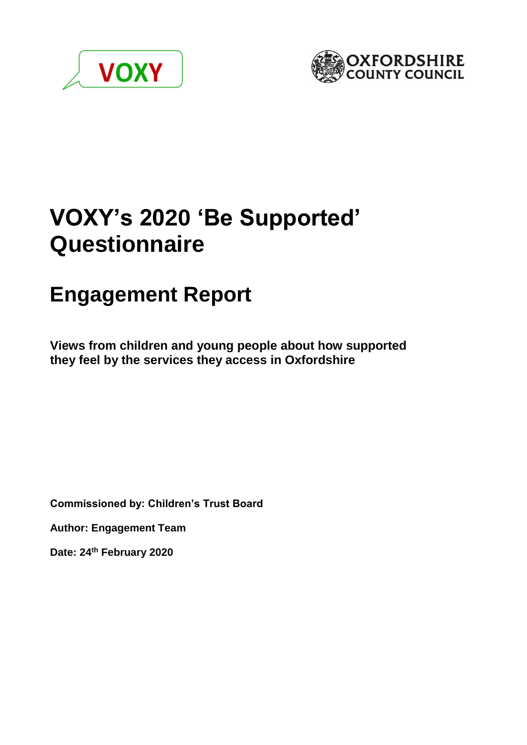



# **VOXY's 2020 'Be Supported' Questionnaire**

# **Engagement Report**

**Views from children and young people about how supported they feel by the services they access in Oxfordshire** 

**Commissioned by: Children's Trust Board**

**Author: Engagement Team**

**Date: 24th February 2020**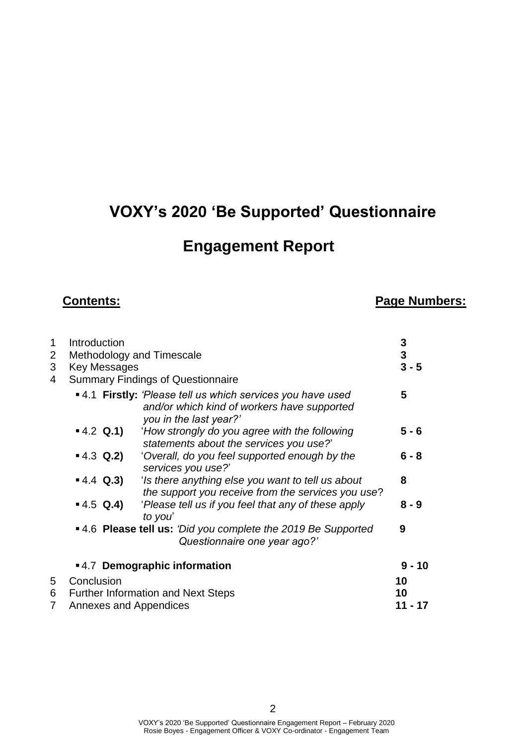## **VOXY's 2020 'Be Supported' Questionnaire**

### **Engagement Report**

#### **Contents: Page Numbers:**

| 1              | Introduction                  |                                                                                                                                      | 3                       |
|----------------|-------------------------------|--------------------------------------------------------------------------------------------------------------------------------------|-------------------------|
| $\overline{2}$ | Methodology and Timescale     |                                                                                                                                      | $\overline{\mathbf{3}}$ |
| 3              | <b>Key Messages</b>           |                                                                                                                                      | $3 - 5$                 |
| 4              |                               | <b>Summary Findings of Questionnaire</b>                                                                                             |                         |
|                |                               | ■ 4.1 Firstly: 'Please tell us which services you have used<br>and/or which kind of workers have supported<br>you in the last year?' | 5                       |
|                | $-4.2$ Q.1)                   | 'How strongly do you agree with the following<br>statements about the services you use?'                                             | $5 - 6$                 |
|                | $-4.3$ Q.2)                   | 'Overall, do you feel supported enough by the<br>services you use?'                                                                  | $6 - 8$                 |
|                | $-4.4$ Q.3)                   | 'Is there anything else you want to tell us about<br>the support you receive from the services you use?                              | 8                       |
|                | $-4.5$ Q.4)                   | 'Please tell us if you feel that any of these apply<br>to you'                                                                       | $8 - 9$                 |
|                |                               | •4.6 Please tell us: 'Did you complete the 2019 Be Supported<br>Questionnaire one year ago?'                                         | 9                       |
|                |                               | ■4.7 Demographic information                                                                                                         | $9 - 10$                |
| 5              | Conclusion                    |                                                                                                                                      | 10                      |
| 6              |                               | <b>Further Information and Next Steps</b>                                                                                            | 10                      |
| 7              | <b>Annexes and Appendices</b> |                                                                                                                                      | 11 - 17                 |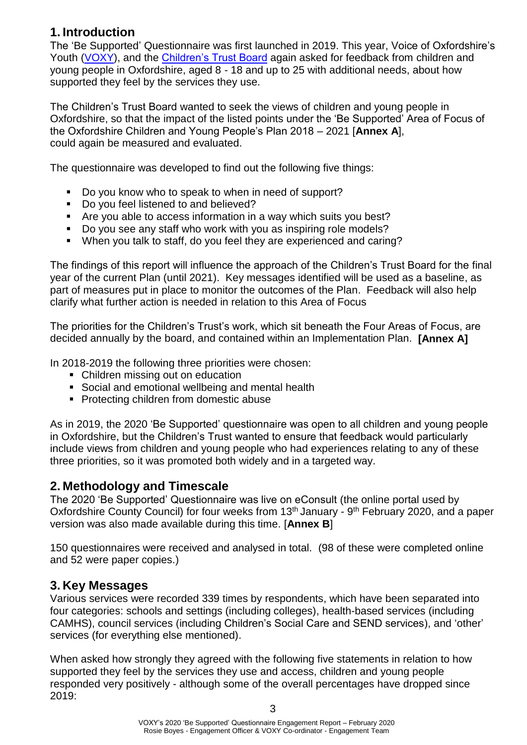#### **1. Introduction**

The 'Be Supported' Questionnaire was first launched in 2019. This year, Voice of Oxfordshire's Youth [\(VOXY\)](http://oxme.info/cms/life/voxy-voice-oxfordshires-youth), and the [Children's Trust Board](https://www.oxfordshire.gov.uk/residents/social-and-health-care/health-and-wellbeing-board/childrens-trust) again asked for feedback from children and young people in Oxfordshire, aged 8 - 18 and up to 25 with additional needs, about how supported they feel by the services they use.

The Children's Trust Board wanted to seek the views of children and young people in Oxfordshire, so that the impact of the listed points under the 'Be Supported' Area of Focus of the Oxfordshire Children and Young People's Plan 2018 – 2021 [**Annex A**], could again be measured and evaluated.

The questionnaire was developed to find out the following five things:

- Do you know who to speak to when in need of support?
- Do you feel listened to and believed?
- Are you able to access information in a way which suits you best?
- Do you see any staff who work with you as inspiring role models?
- When you talk to staff, do you feel they are experienced and caring?

The findings of this report will influence the approach of the Children's Trust Board for the final year of the current Plan (until 2021). Key messages identified will be used as a baseline, as part of measures put in place to monitor the outcomes of the Plan. Feedback will also help clarify what further action is needed in relation to this Area of Focus

The priorities for the Children's Trust's work, which sit beneath the Four Areas of Focus, are decided annually by the board, and contained within an Implementation Plan. **[Annex A]** 

In 2018-2019 the following three priorities were chosen:

- Children missing out on education
- Social and emotional wellbeing and mental health
- Protecting children from domestic abuse

As in 2019, the 2020 'Be Supported' questionnaire was open to all children and young people in Oxfordshire, but the Children's Trust wanted to ensure that feedback would particularly include views from children and young people who had experiences relating to any of these three priorities, so it was promoted both widely and in a targeted way.

#### **2. Methodology and Timescale**

The 2020 'Be Supported' Questionnaire was live on eConsult (the online portal used by Oxfordshire County Council) for four weeks from 13<sup>th</sup> January - 9<sup>th</sup> February 2020, and a paper version was also made available during this time. [**Annex B**]

150 questionnaires were received and analysed in total. (98 of these were completed online and 52 were paper copies.)

#### **3. Key Messages**

Various services were recorded 339 times by respondents, which have been separated into four categories: schools and settings (including colleges), health-based services (including CAMHS), council services (including Children's Social Care and SEND services), and 'other' services (for everything else mentioned).

When asked how strongly they agreed with the following five statements in relation to how supported they feel by the services they use and access, children and young people responded very positively - although some of the overall percentages have dropped since 2019: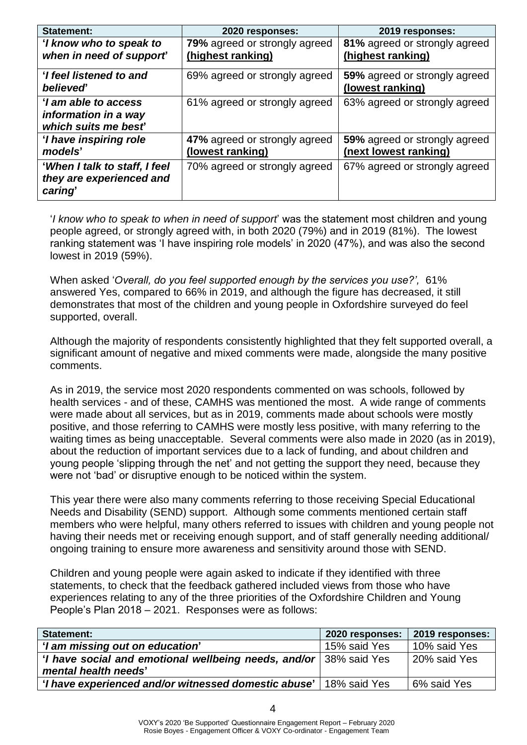| <b>Statement:</b>                                                    | 2020 responses:                                    | 2019 responses:                                        |
|----------------------------------------------------------------------|----------------------------------------------------|--------------------------------------------------------|
| 'I know who to speak to<br>when in need of support                   | 79% agreed or strongly agreed<br>(highest ranking) | 81% agreed or strongly agreed<br>(highest ranking)     |
| 'I feel listened to and<br><b>believed</b>                           | 69% agreed or strongly agreed                      | 59% agreed or strongly agreed<br>(lowest ranking)      |
| 'I am able to access<br>information in a way<br>which suits me best  | 61% agreed or strongly agreed                      | 63% agreed or strongly agreed                          |
| 'I have inspiring role<br>models'                                    | 47% agreed or strongly agreed<br>(lowest ranking)  | 59% agreed or strongly agreed<br>(next lowest ranking) |
| 'When I talk to staff, I feel<br>they are experienced and<br>caring' | 70% agreed or strongly agreed                      | 67% agreed or strongly agreed                          |

'*I know who to speak to when in need of support*' was the statement most children and young people agreed, or strongly agreed with, in both 2020 (79%) and in 2019 (81%). The lowest ranking statement was 'I have inspiring role models' in 2020 (47%), and was also the second lowest in 2019 (59%).

When asked '*Overall, do you feel supported enough by the services you use?',* 61% answered Yes, compared to 66% in 2019, and although the figure has decreased, it still demonstrates that most of the children and young people in Oxfordshire surveyed do feel supported, overall.

Although the majority of respondents consistently highlighted that they felt supported overall, a significant amount of negative and mixed comments were made, alongside the many positive comments.

As in 2019, the service most 2020 respondents commented on was schools, followed by health services - and of these, CAMHS was mentioned the most. A wide range of comments were made about all services, but as in 2019, comments made about schools were mostly positive, and those referring to CAMHS were mostly less positive, with many referring to the waiting times as being unacceptable. Several comments were also made in 2020 (as in 2019), about the reduction of important services due to a lack of funding, and about children and young people 'slipping through the net' and not getting the support they need, because they were not 'bad' or disruptive enough to be noticed within the system.

This year there were also many comments referring to those receiving Special Educational Needs and Disability (SEND) support. Although some comments mentioned certain staff members who were helpful, many others referred to issues with children and young people not having their needs met or receiving enough support, and of staff generally needing additional/ ongoing training to ensure more awareness and sensitivity around those with SEND.

Children and young people were again asked to indicate if they identified with three statements, to check that the feedback gathered included views from those who have experiences relating to any of the three priorities of the Oxfordshire Children and Young People's Plan 2018 – 2021. Responses were as follows:

| <b>Statement:</b>                                                   | 2020 responses: | 2019 responses: |
|---------------------------------------------------------------------|-----------------|-----------------|
| 'I am missing out on education'                                     | 15% said Yes    | 10% said Yes    |
| 'I have social and emotional wellbeing needs, and/or   38% said Yes |                 | 20% said Yes    |
| mental health needs'                                                |                 |                 |
| 'I have experienced and/or witnessed domestic abuse'                | 18% said Yes    | 6% said Yes     |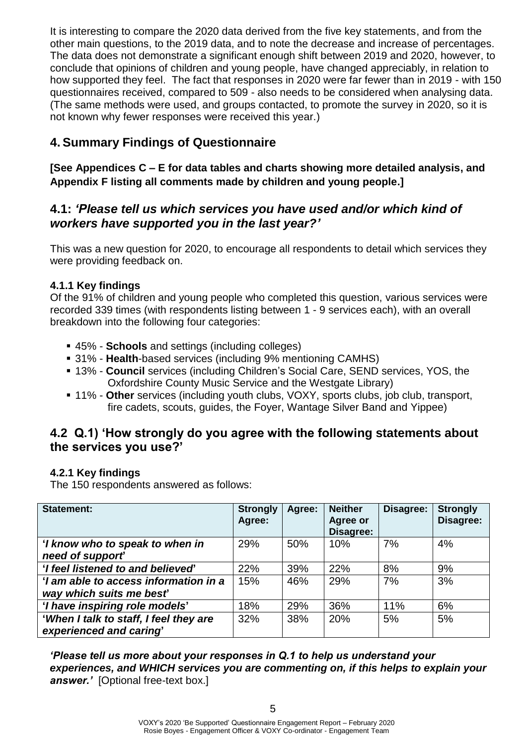It is interesting to compare the 2020 data derived from the five key statements, and from the other main questions, to the 2019 data, and to note the decrease and increase of percentages. The data does not demonstrate a significant enough shift between 2019 and 2020, however, to conclude that opinions of children and young people, have changed appreciably, in relation to how supported they feel. The fact that responses in 2020 were far fewer than in 2019 - with 150 questionnaires received, compared to 509 - also needs to be considered when analysing data. (The same methods were used, and groups contacted, to promote the survey in 2020, so it is not known why fewer responses were received this year.)

#### **4. Summary Findings of Questionnaire**

**[See Appendices C – E for data tables and charts showing more detailed analysis, and Appendix F listing all comments made by children and young people.]**

#### **4.1:** *'Please tell us which services you have used and/or which kind of workers have supported you in the last year?'*

This was a new question for 2020, to encourage all respondents to detail which services they were providing feedback on.

#### **4.1.1 Key findings**

Of the 91% of children and young people who completed this question, various services were recorded 339 times (with respondents listing between 1 - 9 services each), with an overall breakdown into the following four categories:

- 45% **Schools** and settings (including colleges)
- 31% **Health**-based services (including 9% mentioning CAMHS)
- 13% **Council** services (including Children's Social Care, SEND services, YOS, the Oxfordshire County Music Service and the Westgate Library)
- 11% Other services (including youth clubs, VOXY, sports clubs, job club, transport, fire cadets, scouts, guides, the Foyer, Wantage Silver Band and Yippee)

#### **4.2 Q.1) 'How strongly do you agree with the following statements about the services you use?'**

#### **4.2.1 Key findings**

The 150 respondents answered as follows:

| <b>Statement:</b>                      | <b>Strongly</b><br>Agree: | Agree: | <b>Neither</b><br><b>Agree or</b><br>Disagree: | Disagree: | <b>Strongly</b><br>Disagree: |
|----------------------------------------|---------------------------|--------|------------------------------------------------|-----------|------------------------------|
| 'I know who to speak to when in        | 29%                       | 50%    | 10%                                            | 7%        | 4%                           |
| need of support                        |                           |        |                                                |           |                              |
| 'I feel listened to and believed'      | 22%                       | 39%    | 22%                                            | 8%        | 9%                           |
| 'I am able to access information in a  | 15%                       | 46%    | 29%                                            | 7%        | 3%                           |
| way which suits me best                |                           |        |                                                |           |                              |
| 'I have inspiring role models'         | 18%                       | 29%    | 36%                                            | 11%       | 6%                           |
| 'When I talk to staff, I feel they are | 32%                       | 38%    | 20%                                            | 5%        | 5%                           |
| experienced and caring'                |                           |        |                                                |           |                              |

*'Please tell us more about your responses in Q.1 to help us understand your experiences, and WHICH services you are commenting on, if this helps to explain your answer.'* [Optional free-text box.]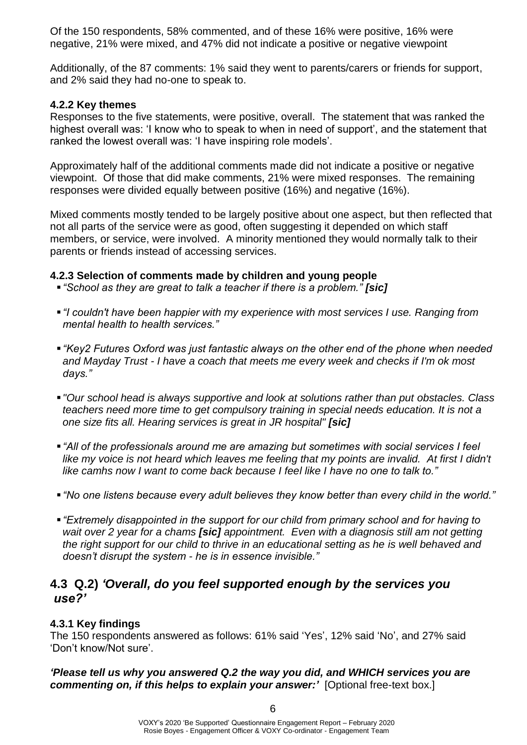Of the 150 respondents, 58% commented, and of these 16% were positive, 16% were negative, 21% were mixed, and 47% did not indicate a positive or negative viewpoint

Additionally, of the 87 comments: 1% said they went to parents/carers or friends for support, and 2% said they had no-one to speak to.

#### **4.2.2 Key themes**

Responses to the five statements, were positive, overall. The statement that was ranked the highest overall was: 'I know who to speak to when in need of support', and the statement that ranked the lowest overall was: 'I have inspiring role models'.

Approximately half of the additional comments made did not indicate a positive or negative viewpoint. Of those that did make comments, 21% were mixed responses. The remaining responses were divided equally between positive (16%) and negative (16%).

Mixed comments mostly tended to be largely positive about one aspect, but then reflected that not all parts of the service were as good, often suggesting it depended on which staff members, or service, were involved. A minority mentioned they would normally talk to their parents or friends instead of accessing services.

#### **4.2.3 Selection of comments made by children and young people**

- *"School as they are great to talk a teacher if there is a problem." [sic]*
- *"I couldn't have been happier with my experience with most services I use. Ranging from mental health to health services."*
- *"Key2 Futures Oxford was just fantastic always on the other end of the phone when needed and Mayday Trust - I have a coach that meets me every week and checks if I'm ok most days."*
- *"Our school head is always supportive and look at solutions rather than put obstacles. Class teachers need more time to get compulsory training in special needs education. It is not a one size fits all. Hearing services is great in JR hospital" [sic]*
- *"All of the professionals around me are amazing but sometimes with social services I feel*  like my voice is not heard which leaves me feeling that my points are invalid. At first I didn't *like camhs now I want to come back because I feel like I have no one to talk to."*
- *"No one listens because every adult believes they know better than every child in the world."*
- *"Extremely disappointed in the support for our child from primary school and for having to wait over 2 year for a chams [sic] appointment. Even with a diagnosis still am not getting the right support for our child to thrive in an educational setting as he is well behaved and doesn't disrupt the system - he is in essence invisible."*

#### **4.3 Q.2)** *'Overall, do you feel supported enough by the services you use?'*

#### **4.3.1 Key findings**

The 150 respondents answered as follows: 61% said 'Yes', 12% said 'No', and 27% said 'Don't know/Not sure'.

*'Please tell us why you answered Q.2 the way you did, and WHICH services you are commenting on, if this helps to explain your answer:'* [Optional free-text box.]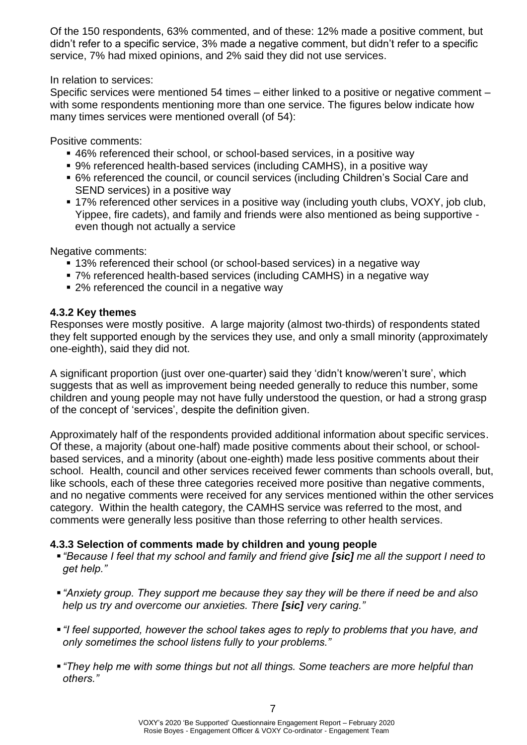Of the 150 respondents, 63% commented, and of these: 12% made a positive comment, but didn't refer to a specific service, 3% made a negative comment, but didn't refer to a specific service, 7% had mixed opinions, and 2% said they did not use services.

In relation to services:

Specific services were mentioned 54 times – either linked to a positive or negative comment – with some respondents mentioning more than one service. The figures below indicate how many times services were mentioned overall (of 54):

Positive comments:

- 46% referenced their school, or school-based services, in a positive way
- 9% referenced health-based services (including CAMHS), in a positive way
- 6% referenced the council, or council services (including Children's Social Care and SEND services) in a positive way
- 17% referenced other services in a positive way (including youth clubs, VOXY, job club, Yippee, fire cadets), and family and friends were also mentioned as being supportive even though not actually a service

Negative comments:

- 13% referenced their school (or school-based services) in a negative way
- 7% referenced health-based services (including CAMHS) in a negative way
- 2% referenced the council in a negative way

#### **4.3.2 Key themes**

Responses were mostly positive. A large majority (almost two-thirds) of respondents stated they felt supported enough by the services they use, and only a small minority (approximately one-eighth), said they did not.

A significant proportion (just over one-quarter) said they 'didn't know/weren't sure', which suggests that as well as improvement being needed generally to reduce this number, some children and young people may not have fully understood the question, or had a strong grasp of the concept of 'services', despite the definition given.

Approximately half of the respondents provided additional information about specific services. Of these, a majority (about one-half) made positive comments about their school, or schoolbased services, and a minority (about one-eighth) made less positive comments about their school. Health, council and other services received fewer comments than schools overall, but, like schools, each of these three categories received more positive than negative comments, and no negative comments were received for any services mentioned within the other services category. Within the health category, the CAMHS service was referred to the most, and comments were generally less positive than those referring to other health services.

#### **4.3.3 Selection of comments made by children and young people**

- *"Because I feel that my school and family and friend give [sic] me all the support I need to get help."*
- *"Anxiety group. They support me because they say they will be there if need be and also help us try and overcome our anxieties. There [sic] very caring."*
- *"I feel supported, however the school takes ages to reply to problems that you have, and only sometimes the school listens fully to your problems."*
- *"They help me with some things but not all things. Some teachers are more helpful than others."*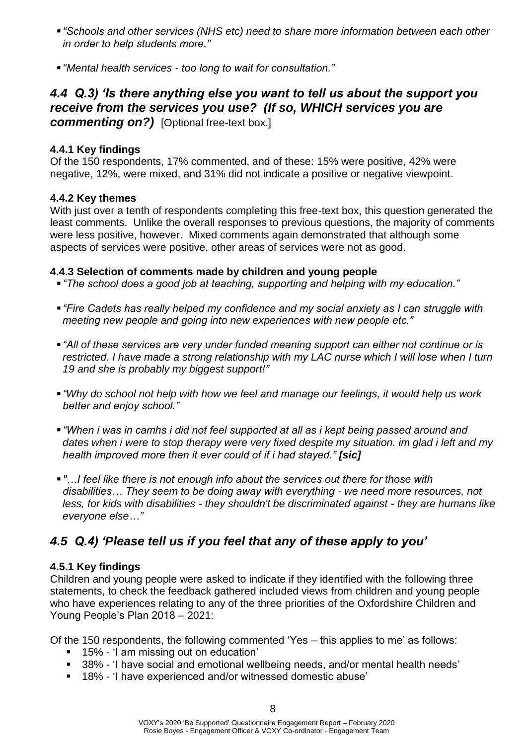- *"Schools and other services (NHS etc) need to share more information between each other in order to help students more."*
- *"Mental health services - too long to wait for consultation."*

#### *4.4 Q.3) 'Is there anything else you want to tell us about the support you receive from the services you use? (If so, WHICH services you are commenting on?)* [Optional free-text box.]

#### **4.4.1 Key findings**

Of the 150 respondents, 17% commented, and of these: 15% were positive, 42% were negative, 12%, were mixed, and 31% did not indicate a positive or negative viewpoint.

#### **4.4.2 Key themes**

With just over a tenth of respondents completing this free-text box, this question generated the least comments. Unlike the overall responses to previous questions, the majority of comments were less positive, however. Mixed comments again demonstrated that although some aspects of services were positive, other areas of services were not as good.

#### **4.4.3 Selection of comments made by children and young people**

- *"The school does a good job at teaching, supporting and helping with my education."*
- *"Fire Cadets has really helped my confidence and my social anxiety as I can struggle with meeting new people and going into new experiences with new people etc."*
- *"All of these services are very under funded meaning support can either not continue or is restricted. I have made a strong relationship with my LAC nurse which I will lose when I turn 19 and she is probably my biggest support!"*
- *"Why do school not help with how we feel and manage our feelings, it would help us work better and enjoy school."*
- *"When i was in camhs i did not feel supported at all as i kept being passed around and dates when i were to stop therapy were very fixed despite my situation. im glad i left and my health improved more then it ever could of if i had stayed." [sic]*
- "...I feel like there is not enough info about the services out there for those with *disabilities… They seem to be doing away with everything - we need more resources, not less, for kids with disabilities - they shouldn't be discriminated against - they are humans like everyone else…"*

### *4.5 Q.4) 'Please tell us if you feel that any of these apply to you'*

#### **4.5.1 Key findings**

Children and young people were asked to indicate if they identified with the following three statements, to check the feedback gathered included views from children and young people who have experiences relating to any of the three priorities of the Oxfordshire Children and Young People's Plan 2018 – 2021:

Of the 150 respondents, the following commented 'Yes – this applies to me' as follows:

- 15% 'I am missing out on education'
- 38% 'I have social and emotional wellbeing needs, and/or mental health needs'
- 18% 'I have experienced and/or witnessed domestic abuse'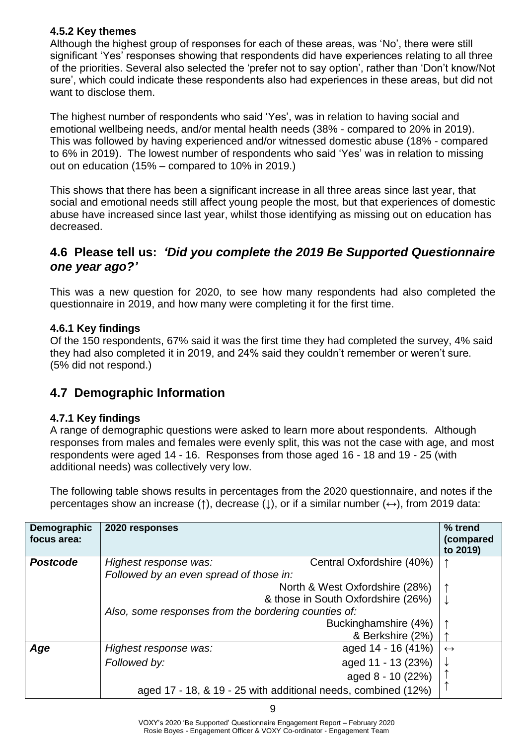#### **4.5.2 Key themes**

Although the highest group of responses for each of these areas, was 'No', there were still significant 'Yes' responses showing that respondents did have experiences relating to all three of the priorities. Several also selected the 'prefer not to say option', rather than 'Don't know/Not sure', which could indicate these respondents also had experiences in these areas, but did not want to disclose them.

The highest number of respondents who said 'Yes', was in relation to having social and emotional wellbeing needs, and/or mental health needs (38% - compared to 20% in 2019). This was followed by having experienced and/or witnessed domestic abuse (18% - compared to 6% in 2019). The lowest number of respondents who said 'Yes' was in relation to missing out on education (15% – compared to 10% in 2019.)

This shows that there has been a significant increase in all three areas since last year, that social and emotional needs still affect young people the most, but that experiences of domestic abuse have increased since last year, whilst those identifying as missing out on education has decreased.

#### **4.6 Please tell us:** *'Did you complete the 2019 Be Supported Questionnaire one year ago?'*

This was a new question for 2020, to see how many respondents had also completed the questionnaire in 2019, and how many were completing it for the first time.

#### **4.6.1 Key findings**

Of the 150 respondents, 67% said it was the first time they had completed the survey, 4% said they had also completed it in 2019, and 24% said they couldn't remember or weren't sure. (5% did not respond.)

#### **4.7 Demographic Information**

#### **4.7.1 Key findings**

A range of demographic questions were asked to learn more about respondents. Although responses from males and females were evenly split, this was not the case with age, and most respondents were aged 14 - 16. Responses from those aged 16 - 18 and 19 - 25 (with additional needs) was collectively very low.

The following table shows results in percentages from the 2020 questionnaire, and notes if the percentages show an increase (**↑**), decrease (**↓**), or if a similar number (**↔**), from 2019 data:

| Demographic<br>focus area: | 2020 responses                          |                                                               | % trend<br>(compared<br>to 2019) |  |
|----------------------------|-----------------------------------------|---------------------------------------------------------------|----------------------------------|--|
| <b>Postcode</b>            | Highest response was:                   | Central Oxfordshire (40%)                                     |                                  |  |
|                            | Followed by an even spread of those in: |                                                               |                                  |  |
|                            |                                         | North & West Oxfordshire (28%)                                |                                  |  |
|                            |                                         | & those in South Oxfordshire (26%)<br>↓                       |                                  |  |
|                            |                                         | Also, some responses from the bordering counties of:          |                                  |  |
|                            |                                         | Buckinghamshire (4%)                                          |                                  |  |
|                            |                                         | & Berkshire (2%)                                              |                                  |  |
| Age                        | Highest response was:                   | aged 14 - 16 (41%)                                            | $\leftrightarrow$                |  |
|                            | Followed by:                            | aged 11 - 13 (23%)                                            |                                  |  |
|                            |                                         | aged 8 - 10 (22%)                                             |                                  |  |
|                            |                                         | aged 17 - 18, & 19 - 25 with additional needs, combined (12%) |                                  |  |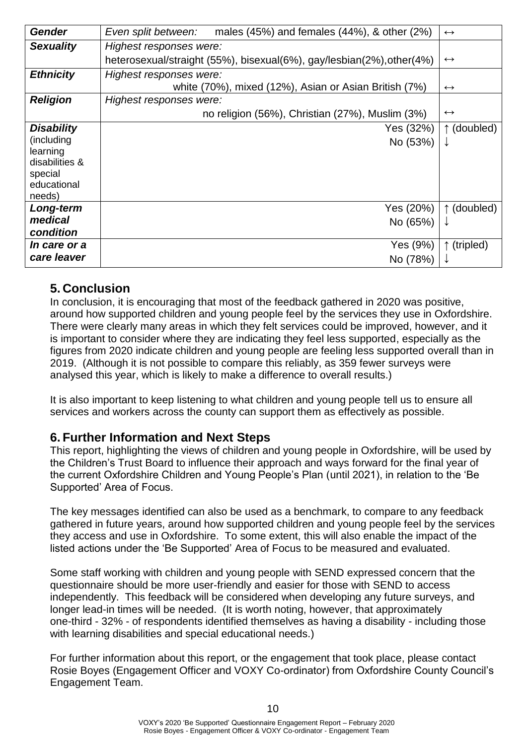| <b>Gender</b>       | males $(45%)$ and females $(44%)$ , & other $(2%)$<br>Even split between: | $\leftrightarrow$    |
|---------------------|---------------------------------------------------------------------------|----------------------|
| <b>Sexuality</b>    | Highest responses were:                                                   |                      |
|                     | heterosexual/straight (55%), bisexual(6%), gay/lesbian(2%), other(4%)     | $\leftrightarrow$    |
| <b>Ethnicity</b>    | Highest responses were:                                                   |                      |
|                     | white (70%), mixed (12%), Asian or Asian British (7%)                     | $\leftrightarrow$    |
| <b>Religion</b>     | Highest responses were:                                                   |                      |
|                     | no religion (56%), Christian (27%), Muslim (3%)                           | $\leftrightarrow$    |
| <b>Disability</b>   | Yes (32%)                                                                 | ↑ (doubled)          |
| (including          | No (53%)                                                                  | ↓                    |
| learning            |                                                                           |                      |
| disabilities &      |                                                                           |                      |
| special             |                                                                           |                      |
| educational         |                                                                           |                      |
| needs)<br>Long-term | Yes (20%)                                                                 | ↑ (doubled)          |
| medical             |                                                                           |                      |
| condition           | No (65%)                                                                  | ↓                    |
|                     |                                                                           |                      |
| <i>In care or a</i> | Yes (9%)                                                                  | $\uparrow$ (tripled) |
| care leaver         | No (78%)                                                                  |                      |

#### **5. Conclusion**

In conclusion, it is encouraging that most of the feedback gathered in 2020 was positive, around how supported children and young people feel by the services they use in Oxfordshire. There were clearly many areas in which they felt services could be improved, however, and it is important to consider where they are indicating they feel less supported, especially as the figures from 2020 indicate children and young people are feeling less supported overall than in 2019. (Although it is not possible to compare this reliably, as 359 fewer surveys were analysed this year, which is likely to make a difference to overall results.)

It is also important to keep listening to what children and young people tell us to ensure all services and workers across the county can support them as effectively as possible.

#### **6. Further Information and Next Steps**

This report, highlighting the views of children and young people in Oxfordshire, will be used by the Children's Trust Board to influence their approach and ways forward for the final year of the current Oxfordshire Children and Young People's Plan (until 2021), in relation to the 'Be Supported' Area of Focus.

The key messages identified can also be used as a benchmark, to compare to any feedback gathered in future years, around how supported children and young people feel by the services they access and use in Oxfordshire. To some extent, this will also enable the impact of the listed actions under the 'Be Supported' Area of Focus to be measured and evaluated.

Some staff working with children and young people with SEND expressed concern that the questionnaire should be more user-friendly and easier for those with SEND to access independently. This feedback will be considered when developing any future surveys, and longer lead-in times will be needed. (It is worth noting, however, that approximately one-third - 32% - of respondents identified themselves as having a disability - including those with learning disabilities and special educational needs.)

For further information about this report, or the engagement that took place, please contact Rosie Boyes (Engagement Officer and VOXY Co-ordinator) from Oxfordshire County Council's Engagement Team.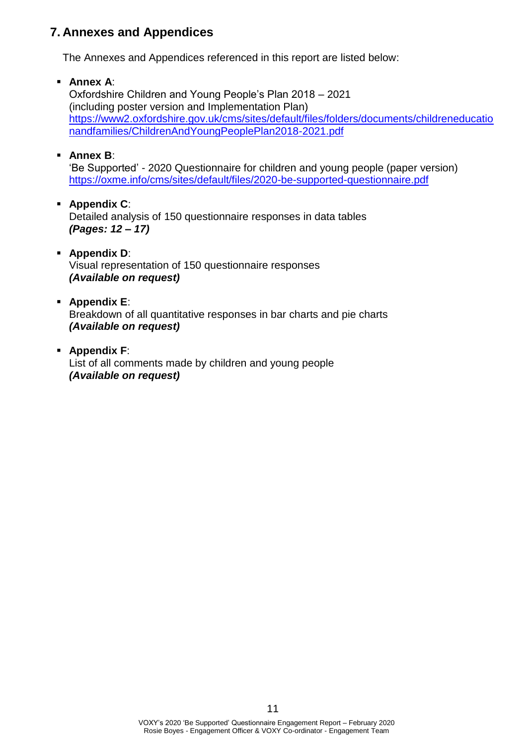#### **7. Annexes and Appendices**

The Annexes and Appendices referenced in this report are listed below:

▪ **Annex A**:

Oxfordshire Children and Young People's Plan 2018 – 2021 (including poster version and Implementation Plan) [https://www2.oxfordshire.gov.uk/cms/sites/default/files/folders/documents/childreneducatio](https://www2.oxfordshire.gov.uk/cms/sites/default/files/folders/documents/childreneducationandfamilies/ChildrenAndYoungPeoplePlan2018-2021.pdf) [nandfamilies/ChildrenAndYoungPeoplePlan2018-2021.pdf](https://www2.oxfordshire.gov.uk/cms/sites/default/files/folders/documents/childreneducationandfamilies/ChildrenAndYoungPeoplePlan2018-2021.pdf)

▪ **Annex B**:

'Be Supported' - 2020 Questionnaire for children and young people (paper version) <https://oxme.info/cms/sites/default/files/2020-be-supported-questionnaire.pdf>

- **Appendix C**: Detailed analysis of 150 questionnaire responses in data tables *(Pages: 12 – 17)*
- **Appendix D**: Visual representation of 150 questionnaire responses *(Available on request)*
- **Appendix E**: Breakdown of all quantitative responses in bar charts and pie charts *(Available on request)*
- **Appendix F**: List of all comments made by children and young people *(Available on request)*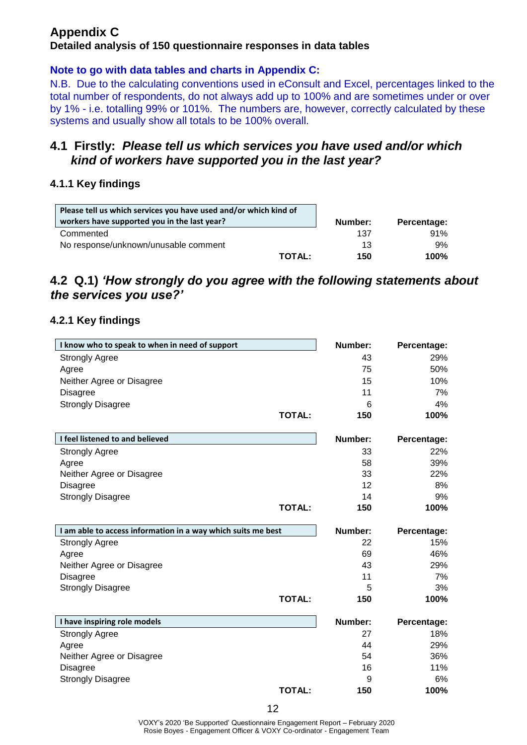#### **Appendix C Detailed analysis of 150 questionnaire responses in data tables**

#### **Note to go with data tables and charts in Appendix C:**

N.B. Due to the calculating conventions used in eConsult and Excel, percentages linked to the total number of respondents, do not always add up to 100% and are sometimes under or over by 1% - i.e. totalling 99% or 101%. The numbers are, however, correctly calculated by these systems and usually show all totals to be 100% overall.

#### **4.1 Firstly:** *Please tell us which services you have used and/or which kind of workers have supported you in the last year?*

#### **4.1.1 Key findings**

| Please tell us which services you have used and/or which kind of |         |             |
|------------------------------------------------------------------|---------|-------------|
| workers have supported you in the last year?                     | Number: | Percentage: |
| Commented                                                        | 137     | 91%         |
| No response/unknown/unusable comment                             | 13      | 9%          |
| <b>TOTAL:</b>                                                    | 150     | 100%        |

#### **4.2 Q.1)** *'How strongly do you agree with the following statements about the services you use?'*

#### **4.2.1 Key findings**

| I know who to speak to when in need of support               | Number: | Percentage: |
|--------------------------------------------------------------|---------|-------------|
| <b>Strongly Agree</b>                                        | 43      | 29%         |
| Agree                                                        | 75      | 50%         |
| Neither Agree or Disagree                                    | 15      | 10%         |
| <b>Disagree</b>                                              | 11      | 7%          |
| <b>Strongly Disagree</b>                                     | 6       | 4%          |
| <b>TOTAL:</b>                                                | 150     | 100%        |
| I feel listened to and believed                              | Number: | Percentage: |
| <b>Strongly Agree</b>                                        | 33      | 22%         |
| Agree                                                        | 58      | 39%         |
| Neither Agree or Disagree                                    | 33      | 22%         |
| <b>Disagree</b>                                              | 12      | 8%          |
| <b>Strongly Disagree</b>                                     | 14      | 9%          |
| <b>TOTAL:</b>                                                | 150     | 100%        |
| I am able to access information in a way which suits me best | Number: | Percentage: |
| <b>Strongly Agree</b>                                        | 22      | 15%         |
| Agree                                                        | 69      | 46%         |
| Neither Agree or Disagree                                    | 43      | 29%         |
| <b>Disagree</b>                                              | 11      | 7%          |
| <b>Strongly Disagree</b>                                     | 5       | 3%          |
| <b>TOTAL:</b>                                                | 150     | 100%        |
| I have inspiring role models                                 | Number: | Percentage: |
| <b>Strongly Agree</b>                                        | 27      | 18%         |
| Agree                                                        | 44      | 29%         |
| Neither Agree or Disagree                                    | 54      | 36%         |
| <b>Disagree</b>                                              | 16      | 11%         |
| <b>Strongly Disagree</b>                                     | 9       | 6%          |
| <b>TOTAL:</b>                                                | 150     | 100%        |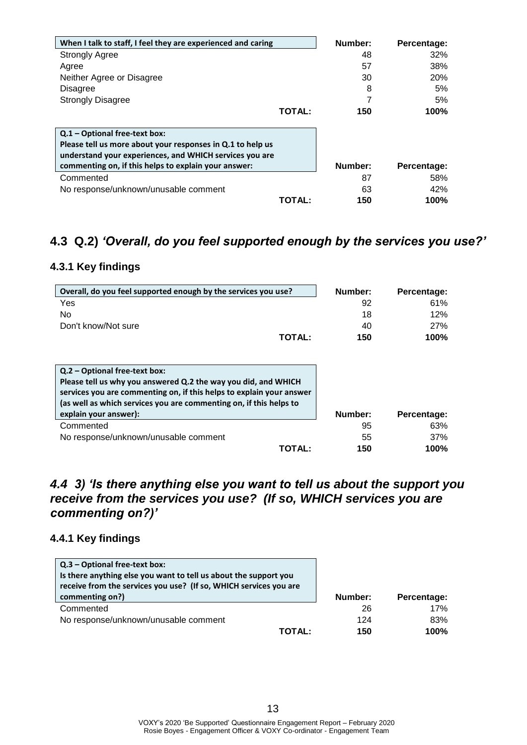| When I talk to staff, I feel they are experienced and caring |               | Number: | Percentage: |
|--------------------------------------------------------------|---------------|---------|-------------|
| <b>Strongly Agree</b>                                        |               | 48      | 32%         |
| Agree                                                        |               | 57      | 38%         |
| Neither Agree or Disagree                                    |               | 30      | 20%         |
| <b>Disagree</b>                                              |               | 8       | 5%          |
| <b>Strongly Disagree</b>                                     |               |         | 5%          |
|                                                              | <b>TOTAL:</b> | 150     | 100%        |
|                                                              |               |         |             |
| Q.1 - Optional free-text box:                                |               |         |             |
| Please tell us more about your responses in Q.1 to help us   |               |         |             |
| understand your experiences, and WHICH services you are      |               |         |             |
| commenting on, if this helps to explain your answer:         |               | Number: | Percentage: |
| Commented                                                    |               | 87      | 58%         |
| No response/unknown/unusable comment                         |               | 63      | 42%         |
|                                                              | TOTAL:        | 150     | 100%        |

#### **4.3 Q.2)** *'Overall, do you feel supported enough by the services you use?'*

#### **4.3.1 Key findings**

| Overall, do you feel supported enough by the services you use?                                                                                                                                                                                                         | Number: | Percentage: |
|------------------------------------------------------------------------------------------------------------------------------------------------------------------------------------------------------------------------------------------------------------------------|---------|-------------|
| Yes                                                                                                                                                                                                                                                                    | 92      | 61%         |
| No                                                                                                                                                                                                                                                                     | 18      | 12%         |
| Don't know/Not sure                                                                                                                                                                                                                                                    | 40      | 27%         |
| <b>TOTAL:</b>                                                                                                                                                                                                                                                          | 150     | 100%        |
| Q.2 – Optional free-text box:<br>Please tell us why you answered Q.2 the way you did, and WHICH<br>services you are commenting on, if this helps to explain your answer<br>(as well as which services you are commenting on, if this helps to<br>explain your answer): | Number: | Percentage: |
| Commented                                                                                                                                                                                                                                                              | 95      | 63%         |
| No response/unknown/unusable comment                                                                                                                                                                                                                                   | 55      | 37%         |
| TOTAL:                                                                                                                                                                                                                                                                 | 150     | 100%        |

#### *4.4 3) 'Is there anything else you want to tell us about the support you receive from the services you use? (If so, WHICH services you are commenting on?)'*

#### **4.4.1 Key findings**

| Q.3 - Optional free-text box:<br>Is there anything else you want to tell us about the support you<br>receive from the services you use? (If so, WHICH services you are |         |             |
|------------------------------------------------------------------------------------------------------------------------------------------------------------------------|---------|-------------|
| commenting on?)                                                                                                                                                        | Number: | Percentage: |
| Commented                                                                                                                                                              | 26      | 17%         |
| No response/unknown/unusable comment                                                                                                                                   | 124     | 83%         |
| TOTAL:                                                                                                                                                                 | 150     | $100\%$     |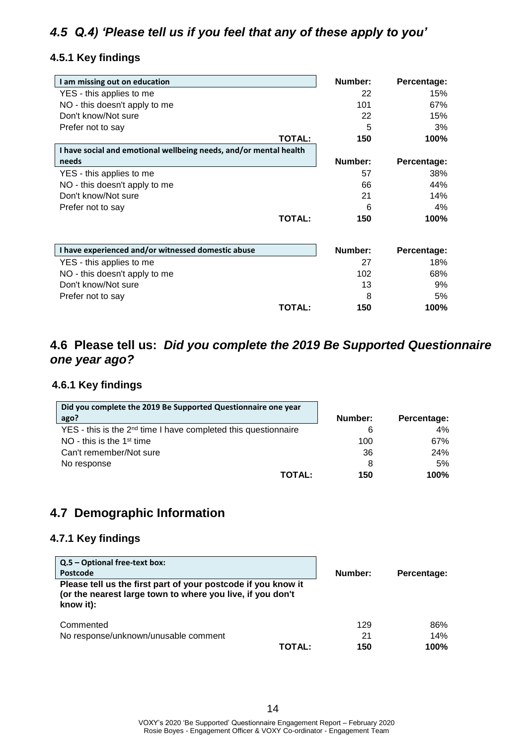### *4.5 Q.4) 'Please tell us if you feel that any of these apply to you'*

#### **4.5.1 Key findings**

| I am missing out on education                                     | Number: | Percentage: |
|-------------------------------------------------------------------|---------|-------------|
| YES - this applies to me                                          | 22      | 15%         |
| NO - this doesn't apply to me                                     | 101     | 67%         |
| Don't know/Not sure                                               | 22      | 15%         |
| Prefer not to say                                                 | 5       | 3%          |
| <b>TOTAL:</b>                                                     | 150     | 100%        |
| I have social and emotional wellbeing needs, and/or mental health |         |             |
| needs                                                             | Number: | Percentage: |
| YES - this applies to me                                          | 57      | 38%         |
| NO - this doesn't apply to me                                     | 66      | 44%         |
| Don't know/Not sure                                               | 21      | 14%         |
| Prefer not to say                                                 | 6       | $4\%$       |
| <b>TOTAL:</b>                                                     | 150     | 100%        |
| I have experienced and/or witnessed domestic abuse                | Number: | Percentage: |
| YES - this applies to me                                          | 27      | 18%         |

|                               | <b>TOTAL:</b> | 150  | 100% |
|-------------------------------|---------------|------|------|
| Prefer not to say             |               | 8    | 5%   |
| Don't know/Not sure           |               | 13   | 9%   |
| NO - this doesn't apply to me |               | 102  | 68%  |
| YES - this applies to me      |               | - 27 | 18%  |

#### **4.6 Please tell us:** *Did you complete the 2019 Be Supported Questionnaire one year ago?*

#### **4.6.1 Key findings**

| Did you complete the 2019 Be Supported Questionnaire one year              |         |             |
|----------------------------------------------------------------------------|---------|-------------|
| ago?                                                                       | Number: | Percentage: |
| YES - this is the 2 <sup>nd</sup> time I have completed this questionnaire | 6       | 4%          |
| NO - this is the $1st$ time                                                | 100     | 67%         |
| Can't remember/Not sure                                                    | 36      | <b>24%</b>  |
| No response                                                                | 8       | 5%          |
| <b>TOTAL:</b>                                                              | 150     | 100%        |

#### **4.7 Demographic Information**

#### **4.7.1 Key findings**

| Q.5 - Optional free-text box:<br>Postcode<br>Please tell us the first part of your postcode if you know it<br>(or the nearest large town to where you live, if you don't<br>know it): | Number:       | Percentage: |
|---------------------------------------------------------------------------------------------------------------------------------------------------------------------------------------|---------------|-------------|
| Commented                                                                                                                                                                             | 129           | 86%         |
| No response/unknown/unusable comment                                                                                                                                                  | 21            | 14%         |
|                                                                                                                                                                                       | TOTAL:<br>150 | 100%        |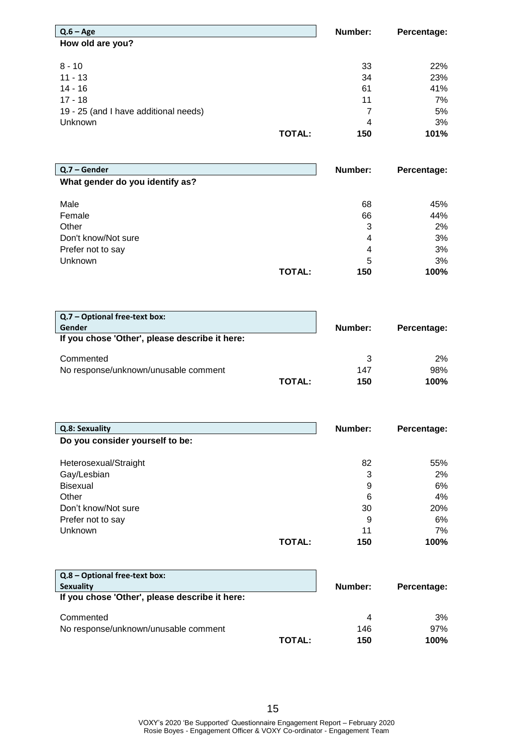| $Q.6 - Age$                           | Number: | Percentage: |
|---------------------------------------|---------|-------------|
| How old are you?                      |         |             |
| $8 - 10$                              | 33      | 22%         |
| $11 - 13$                             | 34      | 23%         |
| 14 - 16                               | 61      | 41%         |
| $17 - 18$                             | 11      | 7%          |
| 19 - 25 (and I have additional needs) | 7       | 5%          |
| <b>Unknown</b>                        | 4       | 3%          |
| <b>TOTAL:</b>                         | 150     | 101%        |

| $Q.7 - Gender$                  | Number: | Percentage: |
|---------------------------------|---------|-------------|
| What gender do you identify as? |         |             |
|                                 |         |             |
| Male                            | 68      | 45%         |
| Female                          | 66      | 44%         |
| Other                           | 3       | 2%          |
| Don't know/Not sure             | 4       | 3%          |
| Prefer not to say               | 4       | 3%          |
| <b>Unknown</b>                  | 5       | 3%          |
| <b>TOTAL:</b>                   | 150     | 100%        |

| Q.7 – Optional free-text box:<br>Gender        |        |         |             |
|------------------------------------------------|--------|---------|-------------|
| If you chose 'Other', please describe it here: |        | Number: | Percentage: |
|                                                |        |         |             |
| Commented                                      |        | 3       | $2\%$       |
| No response/unknown/unusable comment           |        | 147     | 98%         |
|                                                | TOTAL: | 150     | 100%        |

| Q.8: Sexuality                  | Number: | Percentage: |
|---------------------------------|---------|-------------|
| Do you consider yourself to be: |         |             |
|                                 |         |             |
| Heterosexual/Straight           | 82      | 55%         |
| Gay/Lesbian                     | 3       | 2%          |
| <b>Bisexual</b>                 | 9       | 6%          |
| Other                           | 6       | 4%          |
| Don't know/Not sure             | 30      | 20%         |
| Prefer not to say               | 9       | 6%          |
| Unknown                         | 11      | 7%          |
| TOTAL:                          | 150     | 100%        |

| Q.8 – Optional free-text box:                  |         |             |
|------------------------------------------------|---------|-------------|
| <b>Sexuality</b>                               | Number: | Percentage: |
| If you chose 'Other', please describe it here: |         |             |
| Commented                                      | 4       | 3%          |
| No response/unknown/unusable comment           | 146     | 97%         |
| TOTAL:                                         | 150     | 100%        |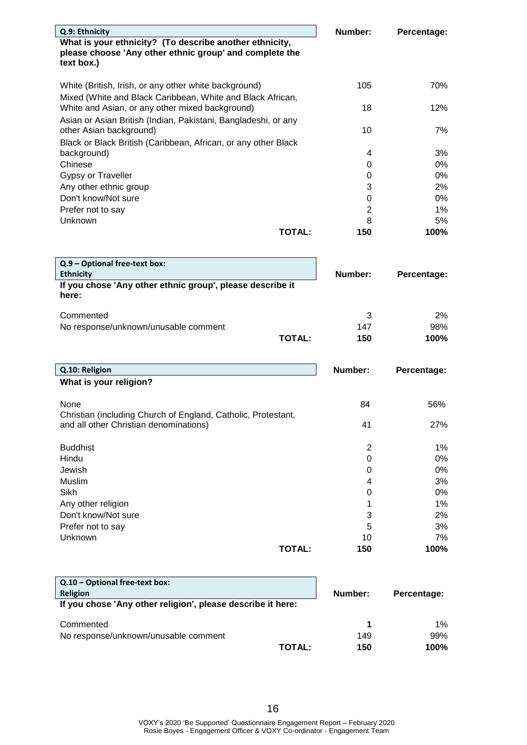| Q.9: Ethnicity                                                                                          |               | Number:          | Percentage: |
|---------------------------------------------------------------------------------------------------------|---------------|------------------|-------------|
| What is your ethnicity? (To describe another ethnicity,                                                 |               |                  |             |
| please choose 'Any other ethnic group' and complete the                                                 |               |                  |             |
| text box.)                                                                                              |               |                  |             |
| White (British, Irish, or any other white background)                                                   |               | 105              | 70%         |
| Mixed (White and Black Caribbean, White and Black African,                                              |               |                  |             |
| White and Asian, or any other mixed background)                                                         |               | 18               | 12%         |
| Asian or Asian British (Indian, Pakistani, Bangladeshi, or any                                          |               |                  |             |
| other Asian background)                                                                                 |               | 10               | 7%          |
| Black or Black British (Caribbean, African, or any other Black                                          |               |                  |             |
| background)                                                                                             |               | 4                | 3%          |
| Chinese                                                                                                 |               | 0                | 0%          |
| Gypsy or Traveller                                                                                      |               | 0                | 0%          |
| Any other ethnic group                                                                                  |               | 3                | 2%          |
| Don't know/Not sure                                                                                     |               | 0                | 0%          |
| Prefer not to say                                                                                       |               | $\overline{2}$   | $1\%$       |
| <b>Unknown</b>                                                                                          |               | 8                | 5%<br>100%  |
|                                                                                                         | <b>TOTAL:</b> | 150              |             |
|                                                                                                         |               |                  |             |
| Q.9 - Optional free-text box:                                                                           |               |                  |             |
| <b>Ethnicity</b>                                                                                        |               | Number:          | Percentage: |
| If you chose 'Any other ethnic group', please describe it                                               |               |                  |             |
| here:                                                                                                   |               |                  |             |
| Commented                                                                                               |               | 3                | 2%          |
| No response/unknown/unusable comment                                                                    |               | 147              | 98%         |
|                                                                                                         | <b>TOTAL:</b> | 150              | 100%        |
|                                                                                                         |               |                  |             |
|                                                                                                         |               |                  |             |
| Q.10: Religion                                                                                          |               | Number:          | Percentage: |
| What is your religion?                                                                                  |               |                  |             |
|                                                                                                         |               |                  |             |
| None                                                                                                    |               | 84               | 56%         |
| Christian (including Church of England, Catholic, Protestant,<br>and all other Christian denominations) |               | 41               | 27%         |
|                                                                                                         |               |                  |             |
| <b>Buddhist</b>                                                                                         |               | $\overline{c}$   | 1%          |
| Hindu                                                                                                   |               | $\boldsymbol{0}$ | 0%          |
| Jewish                                                                                                  |               | 0                | 0%          |
| Muslim                                                                                                  |               | 4                | 3%          |
| Sikh                                                                                                    |               | 0                | 0%          |
| Any other religion                                                                                      |               | 1                | 1%          |
| Don't know/Not sure                                                                                     |               | 3                | 2%          |
| Prefer not to say                                                                                       |               | 5                | 3%          |
| Unknown                                                                                                 |               |                  |             |
|                                                                                                         |               | 10               |             |
|                                                                                                         | <b>TOTAL:</b> | 150              |             |
|                                                                                                         |               |                  |             |
| Q.10 - Optional free-text box:                                                                          |               |                  | 7%<br>100%  |

| <b>Religion</b><br>If you chose 'Any other religion', please describe it here: | Number: | Percentage: |
|--------------------------------------------------------------------------------|---------|-------------|
| Commented                                                                      |         | $1\%$       |
| No response/unknown/unusable comment                                           | 149     | 99%         |
| <b>TOTAL:</b>                                                                  | 150     | 100%        |